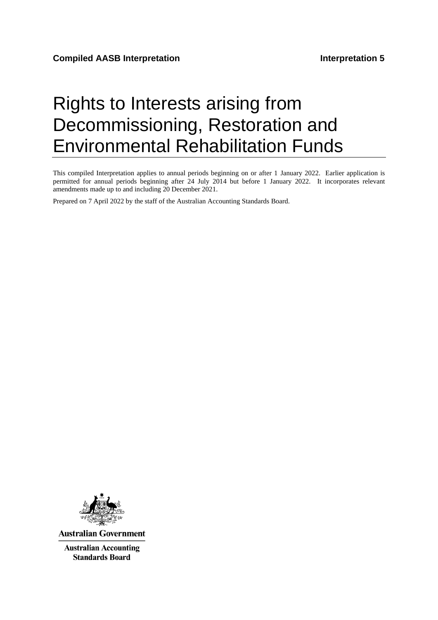# Rights to Interests arising from Decommissioning, Restoration and Environmental Rehabilitation Funds

This compiled Interpretation applies to annual periods beginning on or after 1 January 2022. Earlier application is permitted for annual periods beginning after 24 July 2014 but before 1 January 2022. It incorporates relevant amendments made up to and including 20 December 2021.

Prepared on 7 April 2022 by the staff of the Australian Accounting Standards Board.



**Australian Government** 

**Australian Accounting Standards Board**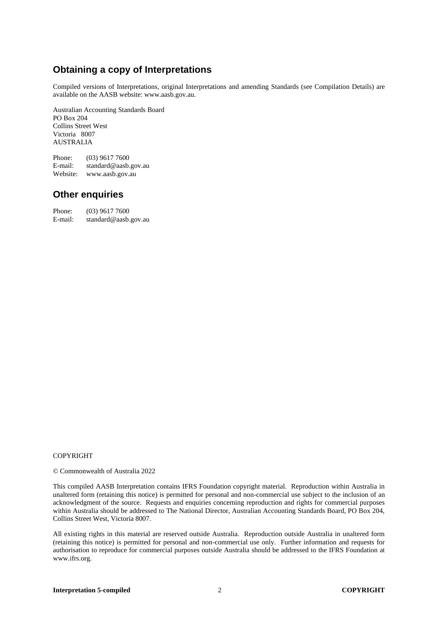# **Obtaining a copy of Interpretations**

Compiled versions of Interpretations, original Interpretations and amending Standards (see Compilation Details) are available on the AASB website: www.aasb.gov.au.

Australian Accounting Standards Board PO Box 204 Collins Street West Victoria 8007 AUSTRALIA

Phone:  $(03)$  9617 7600<br>E-mail: standard@aasb. standard@aasb.gov.au Website: www.aasb.gov.au

## **Other enquiries**

| Phone:  | $(03)$ 9617 7600     |
|---------|----------------------|
| E-mail: | standard@aasb.gov.au |

#### COPYRIGHT

© Commonwealth of Australia 2022

This compiled AASB Interpretation contains IFRS Foundation copyright material. Reproduction within Australia in unaltered form (retaining this notice) is permitted for personal and non-commercial use subject to the inclusion of an acknowledgment of the source. Requests and enquiries concerning reproduction and rights for commercial purposes within Australia should be addressed to The National Director, Australian Accounting Standards Board, PO Box 204, Collins Street West, Victoria 8007.

All existing rights in this material are reserved outside Australia. Reproduction outside Australia in unaltered form (retaining this notice) is permitted for personal and non-commercial use only. Further information and requests for authorisation to reproduce for commercial purposes outside Australia should be addressed to the IFRS Foundation at www.ifrs.org.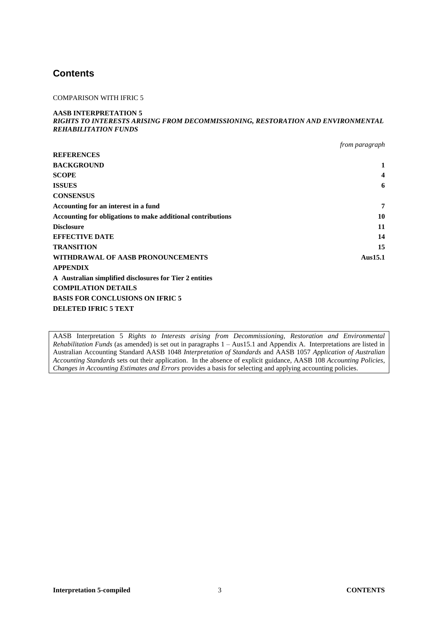# **Contents**

COMPARISON WITH IFRIC 5

#### **AASB INTERPRETATION 5**

*RIGHTS TO INTERESTS ARISING FROM DECOMMISSIONING, RESTORATION AND ENVIRONMENTAL REHABILITATION FUNDS*

|  | from paragraph |
|--|----------------|
|--|----------------|

| <b>REFERENCES</b>                                           |                  |
|-------------------------------------------------------------|------------------|
| <b>BACKGROUND</b>                                           | 1                |
| SCOPE                                                       | $\boldsymbol{4}$ |
| <b>ISSUES</b>                                               | 6                |
| <b>CONSENSUS</b>                                            |                  |
| Accounting for an interest in a fund                        | 7                |
| Accounting for obligations to make additional contributions | 10               |
| Disclosure                                                  | 11               |
| <b>EFFECTIVE DATE</b>                                       | 14               |
| <b>TRANSITION</b>                                           | 15               |
| WITHDRAWAL OF AASB PRONOUNCEMENTS                           | Aus $15.1$       |
| APPENDIX                                                    |                  |
| A Australian simplified disclosures for Tier 2 entities     |                  |
| <b>COMPILATION DETAILS</b>                                  |                  |
| <b>BASIS FOR CONCLUSIONS ON IFRIC 5</b>                     |                  |
| <b>DELETED IFRIC 5 TEXT</b>                                 |                  |
|                                                             |                  |

AASB Interpretation 5 *Rights to Interests arising from Decommissioning, Restoration and Environmental Rehabilitation Funds* (as amended) is set out in paragraphs  $1 - \text{Aus15.1}$  and Appendix A. Interpretations are listed in Australian Accounting Standard AASB 1048 *Interpretation of Standards* and AASB 1057 *Application of Australian Accounting Standards* sets out their application. In the absence of explicit guidance, AASB 108 *Accounting Policies, Changes in Accounting Estimates and Errors* provides a basis for selecting and applying accounting policies.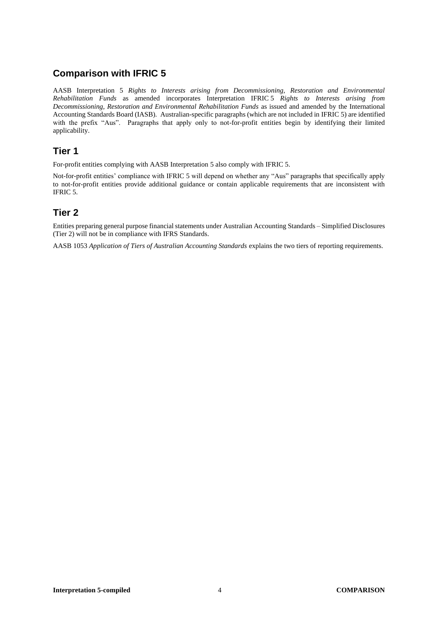# **Comparison with IFRIC 5**

AASB Interpretation 5 *Rights to Interests arising from Decommissioning, Restoration and Environmental Rehabilitation Funds* as amended incorporates Interpretation IFRIC 5 *Rights to Interests arising from Decommissioning, Restoration and Environmental Rehabilitation Funds* as issued and amended by the International Accounting Standards Board (IASB). Australian-specific paragraphs (which are not included in IFRIC 5) are identified with the prefix "Aus". Paragraphs that apply only to not-for-profit entities begin by identifying their limited applicability.

# **Tier 1**

For-profit entities complying with AASB Interpretation 5 also comply with IFRIC 5.

Not-for-profit entities' compliance with IFRIC 5 will depend on whether any "Aus" paragraphs that specifically apply to not-for-profit entities provide additional guidance or contain applicable requirements that are inconsistent with IFRIC 5.

# **Tier 2**

Entities preparing general purpose financial statements under Australian Accounting Standards – Simplified Disclosures (Tier 2) will not be in compliance with IFRS Standards.

AASB 1053 *Application of Tiers of Australian Accounting Standards* explains the two tiers of reporting requirements.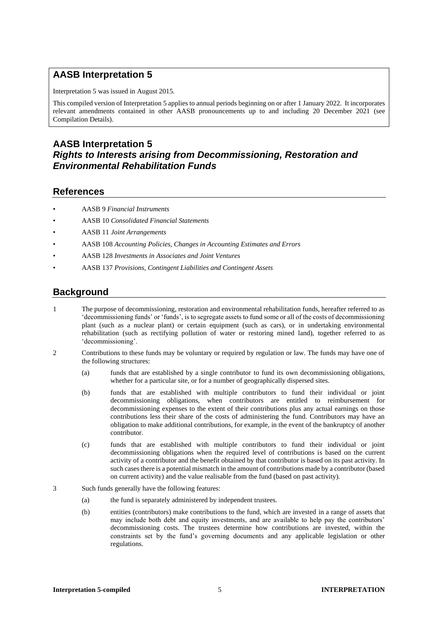# **AASB Interpretation 5**

Interpretation 5 was issued in August 2015.

This compiled version of Interpretation 5 applies to annual periods beginning on or after 1 January 2022. It incorporates relevant amendments contained in other AASB pronouncements up to and including 20 December 2021 (see Compilation Details).

## **AASB Interpretation 5** *Rights to Interests arising from Decommissioning, Restoration and Environmental Rehabilitation Funds*

#### **References**

- AASB 9 *Financial Instruments*
- AASB 10 *Consolidated Financial Statements*
- AASB 11 *Joint Arrangements*
- AASB 108 *Accounting Policies, Changes in Accounting Estimates and Errors*
- AASB 128 *Investments in Associates and Joint Ventures*
- AASB 137 *Provisions, Contingent Liabilities and Contingent Assets*

## **Background**

- 1 The purpose of decommissioning, restoration and environmental rehabilitation funds, hereafter referred to as 'decommissioning funds' or 'funds', is to segregate assets to fund some or all of the costs of decommissioning plant (such as a nuclear plant) or certain equipment (such as cars), or in undertaking environmental rehabilitation (such as rectifying pollution of water or restoring mined land), together referred to as 'decommissioning'.
- 2 Contributions to these funds may be voluntary or required by regulation or law. The funds may have one of the following structures:
	- (a) funds that are established by a single contributor to fund its own decommissioning obligations, whether for a particular site, or for a number of geographically dispersed sites.
	- (b) funds that are established with multiple contributors to fund their individual or joint decommissioning obligations, when contributors are entitled to reimbursement for decommissioning expenses to the extent of their contributions plus any actual earnings on those contributions less their share of the costs of administering the fund. Contributors may have an obligation to make additional contributions, for example, in the event of the bankruptcy of another contributor.
	- (c) funds that are established with multiple contributors to fund their individual or joint decommissioning obligations when the required level of contributions is based on the current activity of a contributor and the benefit obtained by that contributor is based on its past activity. In such cases there is a potential mismatch in the amount of contributions made by a contributor (based on current activity) and the value realisable from the fund (based on past activity).
- 3 Such funds generally have the following features:
	- (a) the fund is separately administered by independent trustees.
	- (b) entities (contributors) make contributions to the fund, which are invested in a range of assets that may include both debt and equity investments, and are available to help pay the contributors' decommissioning costs. The trustees determine how contributions are invested, within the constraints set by the fund's governing documents and any applicable legislation or other regulations.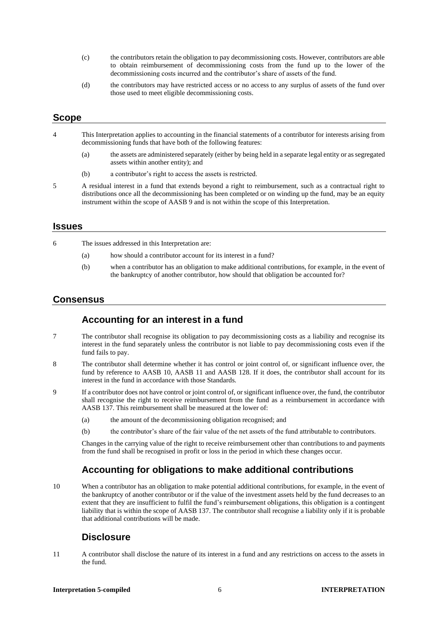- (c) the contributors retain the obligation to pay decommissioning costs. However, contributors are able to obtain reimbursement of decommissioning costs from the fund up to the lower of the decommissioning costs incurred and the contributor's share of assets of the fund.
- (d) the contributors may have restricted access or no access to any surplus of assets of the fund over those used to meet eligible decommissioning costs.

#### **Scope**

- 4 This Interpretation applies to accounting in the financial statements of a contributor for interests arising from decommissioning funds that have both of the following features:
	- (a) the assets are administered separately (either by being held in a separate legal entity or as segregated assets within another entity); and
	- (b) a contributor's right to access the assets is restricted.
- 5 A residual interest in a fund that extends beyond a right to reimbursement, such as a contractual right to distributions once all the decommissioning has been completed or on winding up the fund, may be an equity instrument within the scope of AASB 9 and is not within the scope of this Interpretation.

#### **Issues**

6 The issues addressed in this Interpretation are:

- (a) how should a contributor account for its interest in a fund?
- (b) when a contributor has an obligation to make additional contributions, for example, in the event of the bankruptcy of another contributor, how should that obligation be accounted for?

#### **Consensus**

#### **Accounting for an interest in a fund**

- 7 The contributor shall recognise its obligation to pay decommissioning costs as a liability and recognise its interest in the fund separately unless the contributor is not liable to pay decommissioning costs even if the fund fails to pay.
- 8 The contributor shall determine whether it has control or joint control of, or significant influence over, the fund by reference to AASB 10, AASB 11 and AASB 128. If it does, the contributor shall account for its interest in the fund in accordance with those Standards.
- 9 If a contributor does not have control or joint control of, or significant influence over, the fund, the contributor shall recognise the right to receive reimbursement from the fund as a reimbursement in accordance with AASB 137. This reimbursement shall be measured at the lower of:
	- (a) the amount of the decommissioning obligation recognised; and
	- (b) the contributor's share of the fair value of the net assets of the fund attributable to contributors.

Changes in the carrying value of the right to receive reimbursement other than contributions to and payments from the fund shall be recognised in profit or loss in the period in which these changes occur.

# **Accounting for obligations to make additional contributions**

10 When a contributor has an obligation to make potential additional contributions, for example, in the event of the bankruptcy of another contributor or if the value of the investment assets held by the fund decreases to an extent that they are insufficient to fulfil the fund's reimbursement obligations, this obligation is a contingent liability that is within the scope of AASB 137. The contributor shall recognise a liability only if it is probable that additional contributions will be made.

#### **Disclosure**

11 A contributor shall disclose the nature of its interest in a fund and any restrictions on access to the assets in the fund.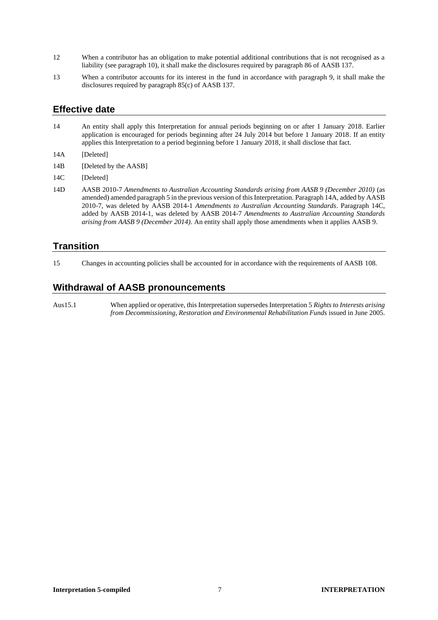- 12 When a contributor has an obligation to make potential additional contributions that is not recognised as a liability (see paragraph 10), it shall make the disclosures required by paragraph 86 of AASB 137.
- 13 When a contributor accounts for its interest in the fund in accordance with paragraph 9, it shall make the disclosures required by paragraph 85(c) of AASB 137.

#### **Effective date**

- 14 An entity shall apply this Interpretation for annual periods beginning on or after 1 January 2018. Earlier application is encouraged for periods beginning after 24 July 2014 but before 1 January 2018. If an entity applies this Interpretation to a period beginning before 1 January 2018, it shall disclose that fact.
- 14A [Deleted]
- 14B [Deleted by the AASB]
- 14C [Deleted]
- 14D AASB 2010-7 *Amendments to Australian Accounting Standards arising from AASB 9 (December 2010)* (as amended) amended paragraph 5 in the previous version of this Interpretation. Paragraph 14A, added by AASB 2010-7, was deleted by AASB 2014-1 *Amendments to Australian Accounting Standards*. Paragraph 14C, added by AASB 2014-1, was deleted by AASB 2014-7 *Amendments to Australian Accounting Standards arising from AASB 9 (December 2014)*. An entity shall apply those amendments when it applies AASB 9.

# **Transition**

15 Changes in accounting policies shall be accounted for in accordance with the requirements of AASB 108.

## **Withdrawal of AASB pronouncements**

Aus15.1 When applied or operative, this Interpretation supersedes Interpretation 5 *Rights to Interests arising from Decommissioning, Restoration and Environmental Rehabilitation Funds* issued in June 2005.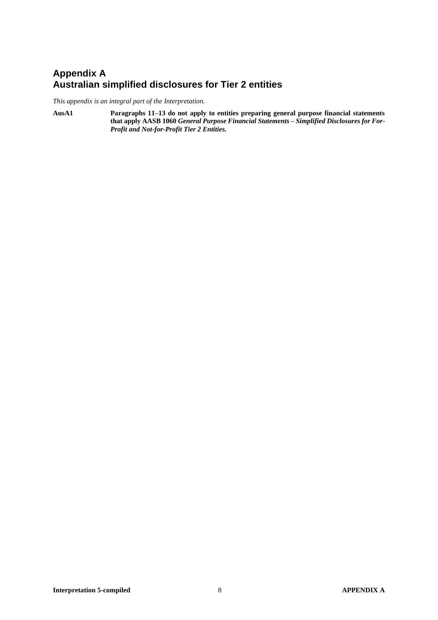# **Appendix A Australian simplified disclosures for Tier 2 entities**

*This appendix is an integral part of the Interpretation.*

**AusA1 Paragraphs 11–13 do not apply to entities preparing general purpose financial statements that apply AASB 1060** *General Purpose Financial Statements – Simplified Disclosures for For-Profit and Not-for-Profit Tier 2 Entities.*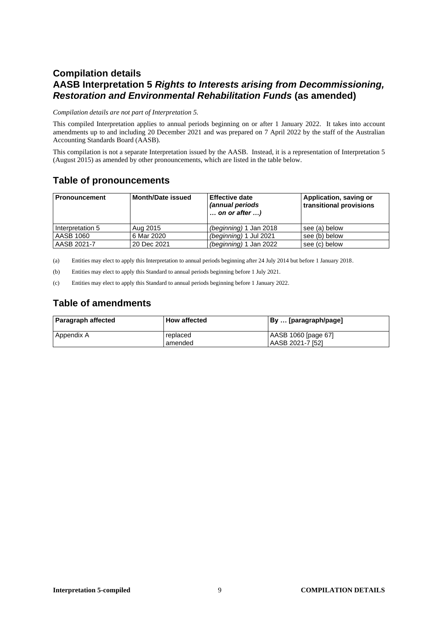# **Compilation details AASB Interpretation 5** *Rights to Interests arising from Decommissioning, Restoration and Environmental Rehabilitation Funds* **(as amended)**

*Compilation details are not part of Interpretation 5.*

This compiled Interpretation applies to annual periods beginning on or after 1 January 2022. It takes into account amendments up to and including 20 December 2021 and was prepared on 7 April 2022 by the staff of the Australian Accounting Standards Board (AASB).

This compilation is not a separate Interpretation issued by the AASB. Instead, it is a representation of Interpretation 5 (August 2015) as amended by other pronouncements, which are listed in the table below.

# **Table of pronouncements**

| <b>Pronouncement</b> | <b>Month/Date issued</b> | <b>Effective date</b><br>(annual periods<br>$\ldots$ on or after $\ldots$ ) | Application, saving or<br>transitional provisions |
|----------------------|--------------------------|-----------------------------------------------------------------------------|---------------------------------------------------|
| Interpretation 5     | Aug 2015                 | (beginning) 1 Jan 2018                                                      | see (a) below                                     |
| AASB 1060            | 6 Mar 2020               | (beginning) 1 Jul 2021                                                      | see (b) below                                     |
| AASB 2021-7          | 20 Dec 2021              | (beginning) 1 Jan 2022                                                      | see (c) below                                     |

(a) Entities may elect to apply this Interpretation to annual periods beginning after 24 July 2014 but before 1 January 2018.

(b) Entities may elect to apply this Standard to annual periods beginning before 1 July 2021.

(c) Entities may elect to apply this Standard to annual periods beginning before 1 January 2022.

# **Table of amendments**

| <b>Paragraph affected</b> | <b>How affected</b> | By  [paragraph/page] |
|---------------------------|---------------------|----------------------|
| I Appendix A              | replaced            | AASB 1060 [page 67]  |
|                           | lamended            | AASB 2021-7 [52]     |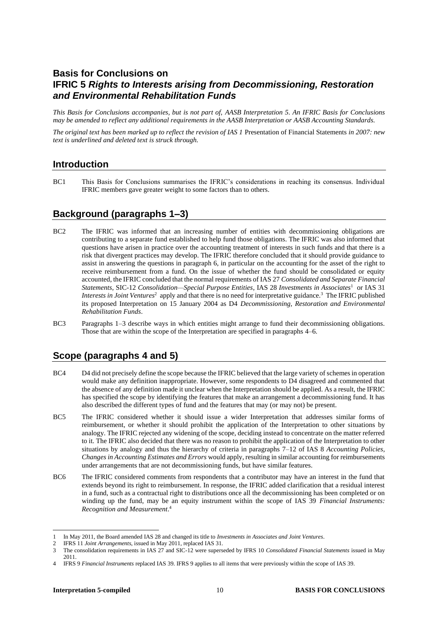# **Basis for Conclusions on IFRIC 5** *Rights to Interests arising from Decommissioning, Restoration and Environmental Rehabilitation Funds*

*This Basis for Conclusions accompanies, but is not part of, AASB Interpretation 5. An IFRIC Basis for Conclusions may be amended to reflect any additional requirements in the AASB Interpretation or AASB Accounting Standards.*

*The original text has been marked up to reflect the revision of IAS 1* Presentation of Financial Statements *in 2007: new text is underlined and deleted text is struck through.*

#### **Introduction**

BC1 This Basis for Conclusions summarises the IFRIC's considerations in reaching its consensus. Individual IFRIC members gave greater weight to some factors than to others.

#### **Background (paragraphs 1–3)**

- BC2 The IFRIC was informed that an increasing number of entities with decommissioning obligations are contributing to a separate fund established to help fund those obligations. The IFRIC was also informed that questions have arisen in practice over the accounting treatment of interests in such funds and that there is a risk that divergent practices may develop. The IFRIC therefore concluded that it should provide guidance to assist in answering the questions in paragraph 6, in particular on the accounting for the asset of the right to receive reimbursement from a fund. On the issue of whether the fund should be consolidated or equity accounted, the IFRIC concluded that the normal requirements of IAS 27 *Consolidated and Separate Financial Statements*, SIC-12 *Consolidation—Special Purpose Entities*, IAS 28 *Investments in Associates*<sup>1</sup> or IAS 31 *Interests in Joint Ventures*<sup>2</sup> apply and that there is no need for interpretative guidance.<sup>3</sup> The IFRIC published its proposed Interpretation on 15 January 2004 as D4 *Decommissioning, Restoration and Environmental Rehabilitation Funds*.
- BC3 Paragraphs 1–3 describe ways in which entities might arrange to fund their decommissioning obligations. Those that are within the scope of the Interpretation are specified in paragraphs 4–6.

# **Scope (paragraphs 4 and 5)**

- BC4 D4 did not precisely define the scope because the IFRIC believed that the large variety of schemes in operation would make any definition inappropriate. However, some respondents to D4 disagreed and commented that the absence of any definition made it unclear when the Interpretation should be applied. As a result, the IFRIC has specified the scope by identifying the features that make an arrangement a decommissioning fund. It has also described the different types of fund and the features that may (or may not) be present.
- BC5 The IFRIC considered whether it should issue a wider Interpretation that addresses similar forms of reimbursement, or whether it should prohibit the application of the Interpretation to other situations by analogy. The IFRIC rejected any widening of the scope, deciding instead to concentrate on the matter referred to it. The IFRIC also decided that there was no reason to prohibit the application of the Interpretation to other situations by analogy and thus the hierarchy of criteria in paragraphs 7–12 of IAS 8 *Accounting Policies, Changes in Accounting Estimates and Errors* would apply, resulting in similar accounting for reimbursements under arrangements that are not decommissioning funds, but have similar features.
- BC6 The IFRIC considered comments from respondents that a contributor may have an interest in the fund that extends beyond its right to reimbursement. In response, the IFRIC added clarification that a residual interest in a fund, such as a contractual right to distributions once all the decommissioning has been completed or on winding up the fund, may be an equity instrument within the scope of IAS 39 *Financial Instruments: Recognition and Measurement*. 4

<sup>1</sup> In May 2011, the Board amended IAS 28 and changed its title to *Investments in Associates and Joint Ventures*.

<sup>2</sup> IFRS 11 *Joint Arrangements*, issued in May 2011, replaced IAS 31.<br><sup>3</sup> The consolidation requirements in IAS 27 and SIC-12 were supersed

<sup>3</sup> The consolidation requirements in IAS 27 and SIC-12 were superseded by IFRS 10 *Consolidated Financial Statements* issued in May 2011.

<sup>4</sup> IFRS 9 *Financial Instruments* replaced IAS 39. IFRS 9 applies to all items that were previously within the scope of IAS 39.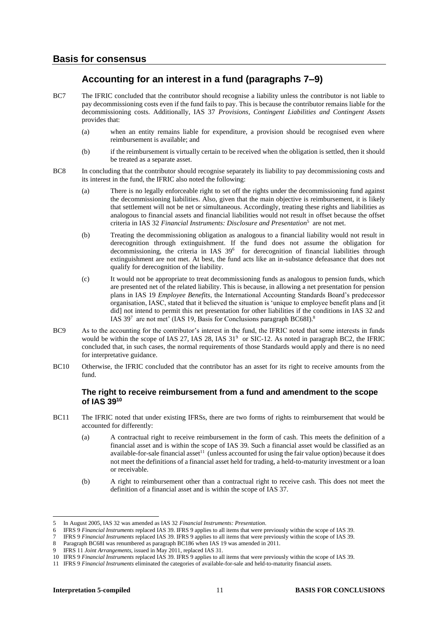## **Accounting for an interest in a fund (paragraphs 7–9)**

- BC7 The IFRIC concluded that the contributor should recognise a liability unless the contributor is not liable to pay decommissioning costs even if the fund fails to pay. This is because the contributor remains liable for the decommissioning costs. Additionally, IAS 37 *Provisions, Contingent Liabilities and Contingent Assets* provides that:
	- (a) when an entity remains liable for expenditure, a provision should be recognised even where reimbursement is available; and
	- (b) if the reimbursement is virtually certain to be received when the obligation is settled, then it should be treated as a separate asset.
- BC8 In concluding that the contributor should recognise separately its liability to pay decommissioning costs and its interest in the fund, the IFRIC also noted the following:
	- (a) There is no legally enforceable right to set off the rights under the decommissioning fund against the decommissioning liabilities. Also, given that the main objective is reimbursement, it is likely that settlement will not be net or simultaneous. Accordingly, treating these rights and liabilities as analogous to financial assets and financial liabilities would not result in offset because the offset criteria in IAS 32 *Financial Instruments: Disclosure and Presentation*<sup>5</sup> are not met.
	- (b) Treating the decommissioning obligation as analogous to a financial liability would not result in derecognition through extinguishment. If the fund does not assume the obligation for decommissioning, the criteria in IAS  $39<sup>6</sup>$  for derecognition of financial liabilities through extinguishment are not met. At best, the fund acts like an in-substance defeasance that does not qualify for derecognition of the liability.
	- (c) It would not be appropriate to treat decommissioning funds as analogous to pension funds, which are presented net of the related liability. This is because, in allowing a net presentation for pension plans in IAS 19 *Employee Benefits*, the International Accounting Standards Board's predecessor organisation, IASC, stated that it believed the situation is 'unique to employee benefit plans and [it did] not intend to permit this net presentation for other liabilities if the conditions in IAS 32 and IAS 39<sup>7</sup> are not met' (IAS 19, Basis for Conclusions paragraph BC68I).<sup>8</sup>
- BC9 As to the accounting for the contributor's interest in the fund, the IFRIC noted that some interests in funds would be within the scope of IAS 27, IAS 28, IAS 31<sup>9</sup> or SIC-12. As noted in paragraph BC2, the IFRIC concluded that, in such cases, the normal requirements of those Standards would apply and there is no need for interpretative guidance.
- BC10 Otherwise, the IFRIC concluded that the contributor has an asset for its right to receive amounts from the fund.

#### **The right to receive reimbursement from a fund and amendment to the scope of IAS 39<sup>10</sup>**

- BC11 The IFRIC noted that under existing IFRSs, there are two forms of rights to reimbursement that would be accounted for differently:
	- (a) A contractual right to receive reimbursement in the form of cash. This meets the definition of a financial asset and is within the scope of IAS 39. Such a financial asset would be classified as an available-for-sale financial asset<sup>11</sup> (unless accounted for using the fair value option) because it does not meet the definitions of a financial asset held for trading, a held-to-maturity investment or a loan or receivable.
	- (b) A right to reimbursement other than a contractual right to receive cash. This does not meet the definition of a financial asset and is within the scope of IAS 37.

<sup>5</sup> In August 2005, IAS 32 was amended as IAS 32 *Financial Instruments: Presentation*.

<sup>6</sup> IFRS 9 *Financial Instruments* replaced IAS 39. IFRS 9 applies to all items that were previously within the scope of IAS 39.

<sup>7</sup> IFRS 9 *Financial Instruments* replaced IAS 39. IFRS 9 applies to all items that were previously within the scope of IAS 39.

<sup>8</sup> Paragraph BC68I was renumbered as paragraph BC186 when IAS 19 was amended in 2011.<br>9 IEBS 11 *Loint Arrangements* issued in May 2011 replaced IAS 31

<sup>9</sup> IFRS 11 *Joint Arrangements*, issued in May 2011, replaced IAS 31.

<sup>10</sup> IFRS 9 *Financial Instruments* replaced IAS 39. IFRS 9 applies to all items that were previously within the scope of IAS 39.

<sup>11</sup> IFRS 9 *Financial Instruments* eliminated the categories of available-for-sale and held-to-maturity financial assets.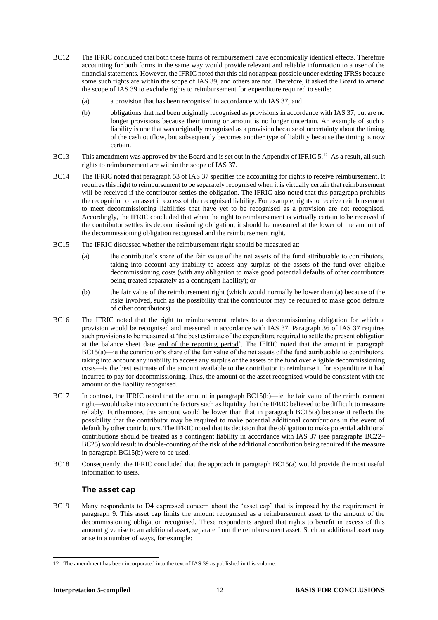- BC12 The IFRIC concluded that both these forms of reimbursement have economically identical effects. Therefore accounting for both forms in the same way would provide relevant and reliable information to a user of the financial statements. However, the IFRIC noted that this did not appear possible under existing IFRSs because some such rights are within the scope of IAS 39, and others are not. Therefore, it asked the Board to amend the scope of IAS 39 to exclude rights to reimbursement for expenditure required to settle:
	- (a) a provision that has been recognised in accordance with IAS 37; and
	- (b) obligations that had been originally recognised as provisions in accordance with IAS 37, but are no longer provisions because their timing or amount is no longer uncertain. An example of such a liability is one that was originally recognised as a provision because of uncertainty about the timing of the cash outflow, but subsequently becomes another type of liability because the timing is now certain.
- BC13 This amendment was approved by the Board and is set out in the Appendix of IFRIC  $5.^{12}$  As a result, all such rights to reimbursement are within the scope of IAS 37.
- BC14 The IFRIC noted that paragraph 53 of IAS 37 specifies the accounting for rights to receive reimbursement. It requires this right to reimbursement to be separately recognised when it is virtually certain that reimbursement will be received if the contributor settles the obligation. The IFRIC also noted that this paragraph prohibits the recognition of an asset in excess of the recognised liability. For example, rights to receive reimbursement to meet decommissioning liabilities that have yet to be recognised as a provision are not recognised. Accordingly, the IFRIC concluded that when the right to reimbursement is virtually certain to be received if the contributor settles its decommissioning obligation, it should be measured at the lower of the amount of the decommissioning obligation recognised and the reimbursement right.
- BC15 The IFRIC discussed whether the reimbursement right should be measured at:
	- (a) the contributor's share of the fair value of the net assets of the fund attributable to contributors, taking into account any inability to access any surplus of the assets of the fund over eligible decommissioning costs (with any obligation to make good potential defaults of other contributors being treated separately as a contingent liability); or
	- (b) the fair value of the reimbursement right (which would normally be lower than (a) because of the risks involved, such as the possibility that the contributor may be required to make good defaults of other contributors).
- BC16 The IFRIC noted that the right to reimbursement relates to a decommissioning obligation for which a provision would be recognised and measured in accordance with IAS 37. Paragraph 36 of IAS 37 requires such provisions to be measured at 'the best estimate of the expenditure required to settle the present obligation at the balance sheet date end of the reporting period'. The IFRIC noted that the amount in paragraph  $BC15(a)$ —ie the contributor's share of the fair value of the net assets of the fund attributable to contributors, taking into account any inability to access any surplus of the assets of the fund over eligible decommissioning costs—is the best estimate of the amount available to the contributor to reimburse it for expenditure it had incurred to pay for decommissioning. Thus, the amount of the asset recognised would be consistent with the amount of the liability recognised.
- BC17 In contrast, the IFRIC noted that the amount in paragraph BC15(b)—ie the fair value of the reimbursement right—would take into account the factors such as liquidity that the IFRIC believed to be difficult to measure reliably. Furthermore, this amount would be lower than that in paragraph BC15(a) because it reflects the possibility that the contributor may be required to make potential additional contributions in the event of default by other contributors. The IFRIC noted that its decision that the obligation to make potential additional contributions should be treated as a contingent liability in accordance with IAS 37 (see paragraphs BC22– BC25) would result in double-counting of the risk of the additional contribution being required if the measure in paragraph BC15(b) were to be used.
- BC18 Consequently, the IFRIC concluded that the approach in paragraph BC15(a) would provide the most useful information to users.

#### **The asset cap**

BC19 Many respondents to D4 expressed concern about the 'asset cap' that is imposed by the requirement in paragraph 9. This asset cap limits the amount recognised as a reimbursement asset to the amount of the decommissioning obligation recognised. These respondents argued that rights to benefit in excess of this amount give rise to an additional asset, separate from the reimbursement asset. Such an additional asset may arise in a number of ways, for example:

<sup>12</sup> The amendment has been incorporated into the text of IAS 39 as published in this volume.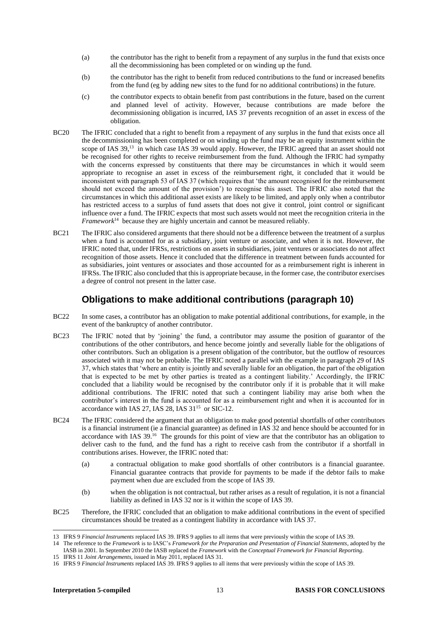- (a) the contributor has the right to benefit from a repayment of any surplus in the fund that exists once all the decommissioning has been completed or on winding up the fund.
- (b) the contributor has the right to benefit from reduced contributions to the fund or increased benefits from the fund (eg by adding new sites to the fund for no additional contributions) in the future.
- (c) the contributor expects to obtain benefit from past contributions in the future, based on the current and planned level of activity. However, because contributions are made before the decommissioning obligation is incurred, IAS 37 prevents recognition of an asset in excess of the obligation.
- BC20 The IFRIC concluded that a right to benefit from a repayment of any surplus in the fund that exists once all the decommissioning has been completed or on winding up the fund may be an equity instrument within the scope of IAS 39,<sup>13</sup> in which case IAS 39 would apply. However, the IFRIC agreed that an asset should not be recognised for other rights to receive reimbursement from the fund. Although the IFRIC had sympathy with the concerns expressed by constituents that there may be circumstances in which it would seem appropriate to recognise an asset in excess of the reimbursement right, it concluded that it would be inconsistent with paragraph 53 of IAS 37 (which requires that 'the amount recognised for the reimbursement should not exceed the amount of the provision') to recognise this asset. The IFRIC also noted that the circumstances in which this additional asset exists are likely to be limited, and apply only when a contributor has restricted access to a surplus of fund assets that does not give it control, joint control or significant influence over a fund. The IFRIC expects that most such assets would not meet the recognition criteria in the *Framework*<sup>14</sup> because they are highly uncertain and cannot be measured reliably.
- BC21 The IFRIC also considered arguments that there should not be a difference between the treatment of a surplus when a fund is accounted for as a subsidiary, joint venture or associate, and when it is not. However, the IFRIC noted that, under IFRSs, restrictions on assets in subsidiaries, joint ventures or associates do not affect recognition of those assets. Hence it concluded that the difference in treatment between funds accounted for as subsidiaries, joint ventures or associates and those accounted for as a reimbursement right is inherent in IFRSs. The IFRIC also concluded that this is appropriate because, in the former case, the contributor exercises a degree of control not present in the latter case.

## **Obligations to make additional contributions (paragraph 10)**

- BC22 In some cases, a contributor has an obligation to make potential additional contributions, for example, in the event of the bankruptcy of another contributor.
- BC23 The IFRIC noted that by 'joining' the fund, a contributor may assume the position of guarantor of the contributions of the other contributors, and hence become jointly and severally liable for the obligations of other contributors. Such an obligation is a present obligation of the contributor, but the outflow of resources associated with it may not be probable. The IFRIC noted a parallel with the example in paragraph 29 of IAS 37, which states that 'where an entity is jointly and severally liable for an obligation, the part of the obligation that is expected to be met by other parties is treated as a contingent liability.' Accordingly, the IFRIC concluded that a liability would be recognised by the contributor only if it is probable that it will make additional contributions. The IFRIC noted that such a contingent liability may arise both when the contributor's interest in the fund is accounted for as a reimbursement right and when it is accounted for in accordance with IAS 27, IAS 28, IAS  $31^{15}$  or SIC-12.
- BC24 The IFRIC considered the argument that an obligation to make good potential shortfalls of other contributors is a financial instrument (ie a financial guarantee) as defined in IAS 32 and hence should be accounted for in accordance with IAS 39.<sup>16</sup> The grounds for this point of view are that the contributor has an obligation to deliver cash to the fund, and the fund has a right to receive cash from the contributor if a shortfall in contributions arises. However, the IFRIC noted that:
	- (a) a contractual obligation to make good shortfalls of other contributors is a financial guarantee. Financial guarantee contracts that provide for payments to be made if the debtor fails to make payment when due are excluded from the scope of IAS 39.
	- (b) when the obligation is not contractual, but rather arises as a result of regulation, it is not a financial liability as defined in IAS 32 nor is it within the scope of IAS 39.
- BC25 Therefore, the IFRIC concluded that an obligation to make additional contributions in the event of specified circumstances should be treated as a contingent liability in accordance with IAS 37.

<sup>13</sup> IFRS 9 *Financial Instruments* replaced IAS 39. IFRS 9 applies to all items that were previously within the scope of IAS 39.

<sup>14</sup> The reference to the *Framework* is to IASC's *Framework for the Preparation and Presentation of Financial Statements*, adopted by the IASB in 2001. In September 2010 the IASB replaced the *Framework* with the *Conceptual Framework for Financial Reporting*.

<sup>15</sup> IFRS 11 *Joint Arrangements*, issued in May 2011, replaced IAS 31.

<sup>16</sup> IFRS 9 *Financial Instruments* replaced IAS 39. IFRS 9 applies to all items that were previously within the scope of IAS 39.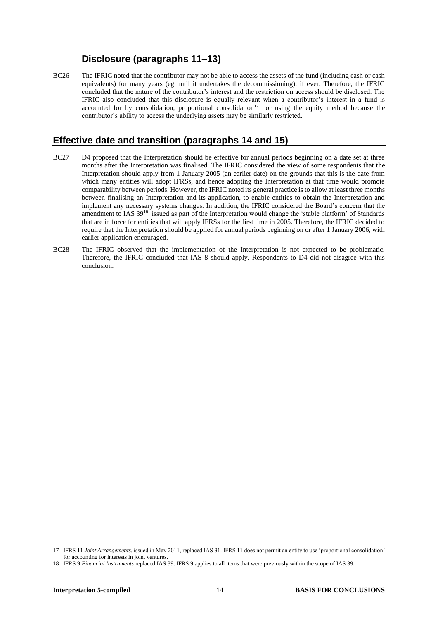# **Disclosure (paragraphs 11–13)**

BC26 The IFRIC noted that the contributor may not be able to access the assets of the fund (including cash or cash equivalents) for many years (eg until it undertakes the decommissioning), if ever. Therefore, the IFRIC concluded that the nature of the contributor's interest and the restriction on access should be disclosed. The IFRIC also concluded that this disclosure is equally relevant when a contributor's interest in a fund is accounted for by consolidation, proportional consolidation<sup>17</sup> or using the equity method because the contributor's ability to access the underlying assets may be similarly restricted.

## **Effective date and transition (paragraphs 14 and 15)**

- BC27 D4 proposed that the Interpretation should be effective for annual periods beginning on a date set at three months after the Interpretation was finalised. The IFRIC considered the view of some respondents that the Interpretation should apply from 1 January 2005 (an earlier date) on the grounds that this is the date from which many entities will adopt IFRSs, and hence adopting the Interpretation at that time would promote comparability between periods. However, the IFRIC noted its general practice is to allow at least three months between finalising an Interpretation and its application, to enable entities to obtain the Interpretation and implement any necessary systems changes. In addition, the IFRIC considered the Board's concern that the amendment to IAS 39<sup>18</sup> issued as part of the Interpretation would change the 'stable platform' of Standards that are in force for entities that will apply IFRSs for the first time in 2005. Therefore, the IFRIC decided to require that the Interpretation should be applied for annual periods beginning on or after 1 January 2006, with earlier application encouraged.
- BC28 The IFRIC observed that the implementation of the Interpretation is not expected to be problematic. Therefore, the IFRIC concluded that IAS 8 should apply. Respondents to D4 did not disagree with this conclusion.

<sup>17</sup> IFRS 11 *Joint Arrangements*, issued in May 2011, replaced IAS 31. IFRS 11 does not permit an entity to use 'proportional consolidation' for accounting for interests in joint ventures.

<sup>18</sup> IFRS 9 *Financial Instruments* replaced IAS 39. IFRS 9 applies to all items that were previously within the scope of IAS 39.